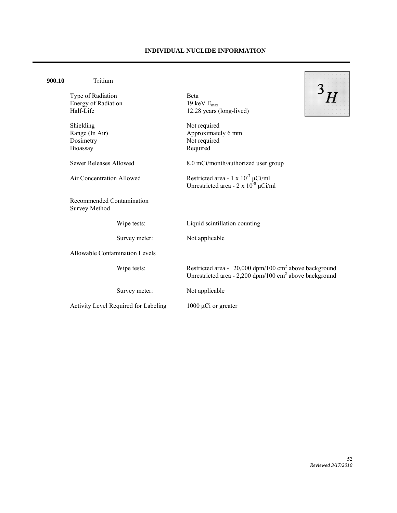## **INDIVIDUAL NUCLIDE INFORMATION**

| 900.10                    | Tritium                                                      |                                                                                                                                           |
|---------------------------|--------------------------------------------------------------|-------------------------------------------------------------------------------------------------------------------------------------------|
|                           | Type of Radiation<br><b>Energy of Radiation</b><br>Half-Life | <b>B</b> eta<br>19 keV $E_{max}$<br>12.28 years (long-lived)                                                                              |
|                           | Shielding<br>Range (In Air)<br>Dosimetry<br>Bioassay         | Not required<br>Approximately 6 mm<br>Not required<br>Required                                                                            |
|                           | <b>Sewer Releases Allowed</b>                                | 8.0 mCi/month/authorized user group                                                                                                       |
| Air Concentration Allowed |                                                              | Restricted area - $1 \times 10^{-7} \mu$ Ci/ml<br>Unrestricted area - $2 \times 10^{-8} \mu$ Ci/ml                                        |
|                           | Recommended Contamination<br><b>Survey Method</b>            |                                                                                                                                           |
|                           | Wipe tests:                                                  | Liquid scintillation counting                                                                                                             |
|                           | Survey meter:                                                | Not applicable                                                                                                                            |
|                           | <b>Allowable Contamination Levels</b>                        |                                                                                                                                           |
|                           | Wipe tests:                                                  | Restricted area - 20,000 dpm/100 cm <sup>2</sup> above background<br>Unrestricted area - $2,200$ dpm/100 cm <sup>2</sup> above background |
|                           | Survey meter:                                                | Not applicable                                                                                                                            |
|                           | Activity Level Required for Labeling                         | 1000 $\mu$ Ci or greater                                                                                                                  |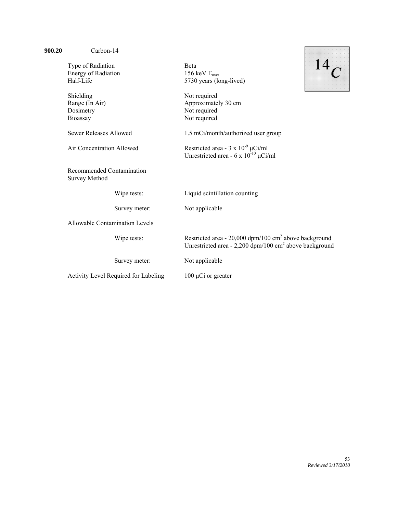| Type of Radiation<br><b>Energy of Radiation</b><br>Half-Life | <b>B</b> eta<br>156 keV $E_{max}$<br>5730 years (long-lived)                                                                                |
|--------------------------------------------------------------|---------------------------------------------------------------------------------------------------------------------------------------------|
| Shielding<br>Range (In Air)<br>Dosimetry<br>Bioassay         | Not required<br>Approximately 30 cm<br>Not required<br>Not required                                                                         |
| <b>Sewer Releases Allowed</b>                                | 1.5 mCi/month/authorized user group                                                                                                         |
| Air Concentration Allowed                                    | Restricted area - $3 \times 10^{-9} \mu$ Ci/ml<br>Unrestricted area - 6 x $10^{-10} \mu$ Ci/ml                                              |
| Recommended Contamination<br><b>Survey Method</b>            |                                                                                                                                             |
| Wipe tests:                                                  | Liquid scintillation counting                                                                                                               |
| Survey meter:                                                | Not applicable                                                                                                                              |
| Allowable Contamination Levels                               |                                                                                                                                             |
| Wipe tests:                                                  | Restricted area - $20,000$ dpm/100 cm <sup>2</sup> above background<br>Unrestricted area - $2,200$ dpm/100 cm <sup>2</sup> above background |
| Survey meter:                                                | Not applicable                                                                                                                              |
| Activity Level Required for Labeling                         | $100 \mu Ci$ or greater                                                                                                                     |
|                                                              |                                                                                                                                             |

**900.20** Carbon-14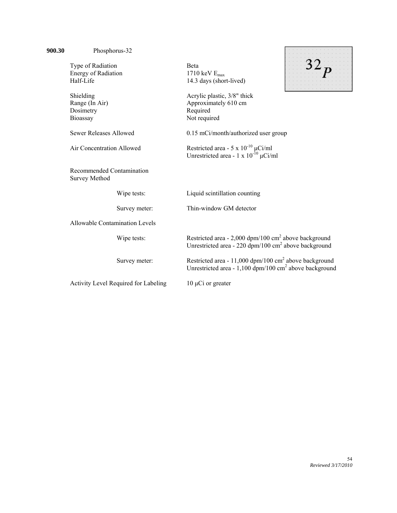| 900.30 | Phosphorus-32                                     |                                      |                                                                                                                                           |  |
|--------|---------------------------------------------------|--------------------------------------|-------------------------------------------------------------------------------------------------------------------------------------------|--|
|        | Type of Radiation                                 |                                      | <b>B</b> eta                                                                                                                              |  |
|        | <b>Energy of Radiation</b>                        |                                      | 1710 keV $E_{max}$                                                                                                                        |  |
|        | Half-Life                                         |                                      | 14.3 days (short-lived)                                                                                                                   |  |
|        | Shielding                                         |                                      | Acrylic plastic, 3/8" thick                                                                                                               |  |
|        | Range (In Air)                                    |                                      | Approximately 610 cm                                                                                                                      |  |
|        | Dosimetry                                         |                                      | Required                                                                                                                                  |  |
|        | Bioassay                                          |                                      | Not required                                                                                                                              |  |
|        | <b>Sewer Releases Allowed</b>                     |                                      | 0.15 mCi/month/authorized user group                                                                                                      |  |
|        | Air Concentration Allowed                         |                                      | Restricted area - 5 x $10^{-10}$ $\mu$ Ci/ml<br>Unrestricted area - $1 \times 10^{-10} \mu$ Ci/ml                                         |  |
|        | Recommended Contamination<br><b>Survey Method</b> |                                      |                                                                                                                                           |  |
|        |                                                   | Wipe tests:                          | Liquid scintillation counting                                                                                                             |  |
|        |                                                   | Survey meter:                        | Thin-window GM detector                                                                                                                   |  |
|        | <b>Allowable Contamination Levels</b>             |                                      |                                                                                                                                           |  |
|        |                                                   | Wipe tests:                          | Restricted area - $2,000$ dpm/100 cm <sup>2</sup> above background<br>Unrestricted area - 220 dpm/100 cm <sup>2</sup> above background    |  |
|        |                                                   | Survey meter:                        | Restricted area - 11,000 dpm/100 cm <sup>2</sup> above background<br>Unrestricted area - $1,100$ dpm/100 cm <sup>2</sup> above background |  |
|        |                                                   | Activity Level Required for Labeling | $10 \mu$ Ci or greater                                                                                                                    |  |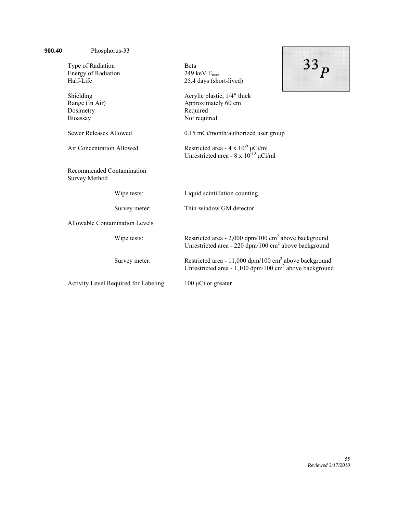| 900.40 | Phosphorus-33                                                |                                      |                                                                                                                                         |  |
|--------|--------------------------------------------------------------|--------------------------------------|-----------------------------------------------------------------------------------------------------------------------------------------|--|
|        | Type of Radiation<br><b>Energy of Radiation</b><br>Half-Life |                                      | <b>B</b> eta<br>249 keV $E_{max}$<br>25.4 days (short-lived)                                                                            |  |
|        | Shielding<br>Range (In Air)<br>Dosimetry<br>Bioassay         |                                      | Acrylic plastic, 1/4" thick<br>Approximately 60 cm<br>Required<br>Not required                                                          |  |
|        | <b>Sewer Releases Allowed</b>                                |                                      | 0.15 mCi/month/authorized user group                                                                                                    |  |
|        | Air Concentration Allowed                                    |                                      | Restricted area - $4 \times 10^{-9} \mu$ Ci/ml<br>Unrestricted area - $8 \times 10^{-10} \mu$ Ci/ml                                     |  |
|        | Recommended Contamination<br><b>Survey Method</b>            |                                      |                                                                                                                                         |  |
|        |                                                              | Wipe tests:                          | Liquid scintillation counting                                                                                                           |  |
|        |                                                              | Survey meter:                        | Thin-window GM detector                                                                                                                 |  |
|        | <b>Allowable Contamination Levels</b>                        |                                      |                                                                                                                                         |  |
|        |                                                              | Wipe tests:                          | Restricted area - $2,000$ dpm/100 cm <sup>2</sup> above background<br>Unrestricted area - 220 dpm/100 cm <sup>2</sup> above background  |  |
|        |                                                              | Survey meter:                        | Restricted area - 11,000 dpm/100 cm <sup>2</sup> above background<br>Unrestricted area - 1,100 dpm/100 cm <sup>2</sup> above background |  |
|        |                                                              | Activity Level Required for Labeling | $100 \mu Ci$ or greater                                                                                                                 |  |
|        |                                                              |                                      |                                                                                                                                         |  |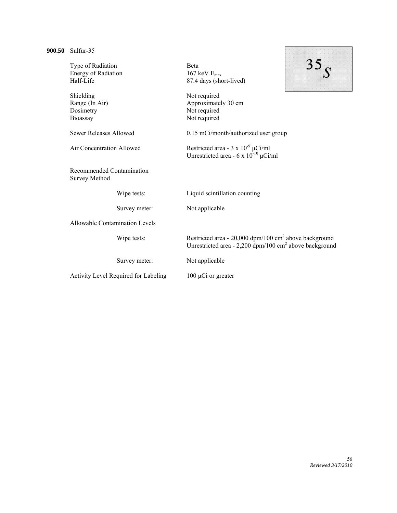| Sulfur-35                                         |               |                                                                      |  |  |
|---------------------------------------------------|---------------|----------------------------------------------------------------------|--|--|
| Type of Radiation                                 |               | <b>B</b> eta                                                         |  |  |
| Energy of Radiation                               |               | 167 keV $E_{\text{max}}$                                             |  |  |
| Half-Life                                         |               | 87.4 days (short-lived)                                              |  |  |
|                                                   |               |                                                                      |  |  |
| Shielding                                         |               | Not required                                                         |  |  |
| Range (In Air)                                    |               | Approximately 30 cm                                                  |  |  |
| Dosimetry                                         |               | Not required                                                         |  |  |
| Bioassay                                          |               | Not required                                                         |  |  |
|                                                   |               |                                                                      |  |  |
| <b>Sewer Releases Allowed</b>                     |               | 0.15 mCi/month/authorized user group                                 |  |  |
| Air Concentration Allowed                         |               | Restricted area - $3 \times 10^{-9} \mu$ Ci/ml                       |  |  |
|                                                   |               | Unrestricted area - $6 \times 10^{-10} \mu$ Ci/ml                    |  |  |
|                                                   |               |                                                                      |  |  |
| Recommended Contamination<br><b>Survey Method</b> |               |                                                                      |  |  |
|                                                   | Wipe tests:   | Liquid scintillation counting                                        |  |  |
|                                                   | Survey meter: | Not applicable                                                       |  |  |
|                                                   |               |                                                                      |  |  |
| <b>Allowable Contamination Levels</b>             |               |                                                                      |  |  |
|                                                   | Wipe tests:   | Restricted area - 20,000 dpm/100 cm <sup>2</sup> above background    |  |  |
|                                                   |               | Unrestricted area - $2,200$ dpm/100 cm <sup>2</sup> above background |  |  |
|                                                   |               |                                                                      |  |  |
|                                                   | Survey meter: | Not applicable                                                       |  |  |
|                                                   |               |                                                                      |  |  |
| Activity Level Required for Labeling              |               | $100 \mu Ci$ or greater                                              |  |  |
|                                                   |               |                                                                      |  |  |
|                                                   |               |                                                                      |  |  |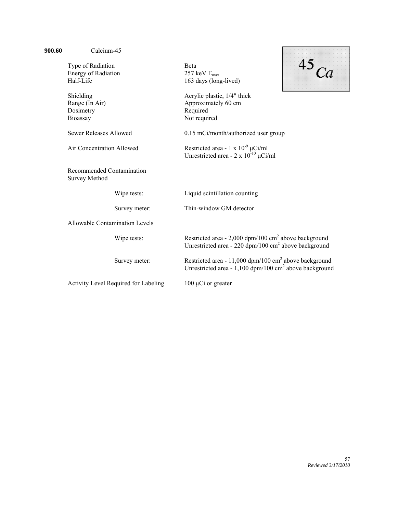| 900.60 | Calcium-45                                                   |                                      |                                                                                                                                           |  |
|--------|--------------------------------------------------------------|--------------------------------------|-------------------------------------------------------------------------------------------------------------------------------------------|--|
|        | Type of Radiation<br><b>Energy of Radiation</b><br>Half-Life |                                      | Beta<br>257 keV $E_{max}$<br>163 days (long-lived)                                                                                        |  |
|        | Shielding<br>Range (In Air)<br>Dosimetry<br>Bioassay         |                                      | Acrylic plastic, 1/4" thick<br>Approximately 60 cm<br>Required<br>Not required                                                            |  |
|        | <b>Sewer Releases Allowed</b>                                |                                      | 0.15 mCi/month/authorized user group                                                                                                      |  |
|        | Air Concentration Allowed                                    |                                      | Restricted area - 1 x $10^{-9} \mu$ Ci/ml<br>Unrestricted area - $2 \times 10^{-10} \mu$ Ci/ml                                            |  |
|        | Recommended Contamination<br><b>Survey Method</b>            |                                      |                                                                                                                                           |  |
|        |                                                              | Wipe tests:                          | Liquid scintillation counting                                                                                                             |  |
|        |                                                              | Survey meter:                        | Thin-window GM detector                                                                                                                   |  |
|        | Allowable Contamination Levels                               |                                      |                                                                                                                                           |  |
|        |                                                              | Wipe tests:                          | Restricted area - $2,000$ dpm/100 cm <sup>2</sup> above background<br>Unrestricted area - 220 dpm/100 cm <sup>2</sup> above background    |  |
|        |                                                              | Survey meter:                        | Restricted area - 11,000 dpm/100 cm <sup>2</sup> above background<br>Unrestricted area - $1,100$ dpm/100 cm <sup>2</sup> above background |  |
|        |                                                              | Activity Level Required for Labeling | $100 \mu Ci$ or greater                                                                                                                   |  |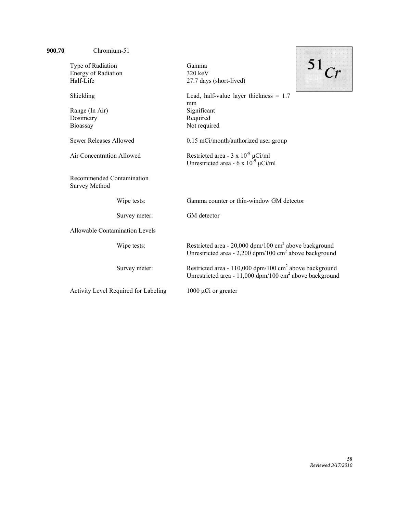| 900.70 | Chromium-51                                              |                                                                                                                                               |
|--------|----------------------------------------------------------|-----------------------------------------------------------------------------------------------------------------------------------------------|
|        | Type of Radiation                                        | Gamma                                                                                                                                         |
|        | <b>Energy of Radiation</b>                               | $320 \text{ keV}$                                                                                                                             |
|        | Half-Life                                                | 27.7 days (short-lived)                                                                                                                       |
|        | Shielding                                                | Lead, half-value layer thickness $= 1.7$                                                                                                      |
|        |                                                          | mm                                                                                                                                            |
|        | Range (In Air)                                           | Significant                                                                                                                                   |
|        | Dosimetry                                                | Required                                                                                                                                      |
|        | Bioassay                                                 | Not required                                                                                                                                  |
|        | Sewer Releases Allowed                                   | 0.15 mCi/month/authorized user group                                                                                                          |
|        | Air Concentration Allowed                                | Restricted area - $3 \times 10^{-8} \mu$ Ci/ml<br>Unrestricted area - 6 x $10^{-9} \mu$ Ci/ml                                                 |
|        | <b>Recommended Contamination</b><br><b>Survey Method</b> |                                                                                                                                               |
|        | Wipe tests:                                              | Gamma counter or thin-window GM detector                                                                                                      |
|        | Survey meter:                                            | GM detector                                                                                                                                   |
|        | <b>Allowable Contamination Levels</b>                    |                                                                                                                                               |
|        | Wipe tests:                                              | Restricted area - $20,000$ dpm/100 cm <sup>2</sup> above background<br>Unrestricted area - 2,200 dpm/100 $\text{cm}^2$ above background       |
|        | Survey meter:                                            | Restricted area - $110,000$ dpm/100 cm <sup>2</sup> above background<br>Unrestricted area - $11,000$ dpm/100 cm <sup>2</sup> above background |
|        | Activity Level Required for Labeling                     | $1000 \mu Ci$ or greater                                                                                                                      |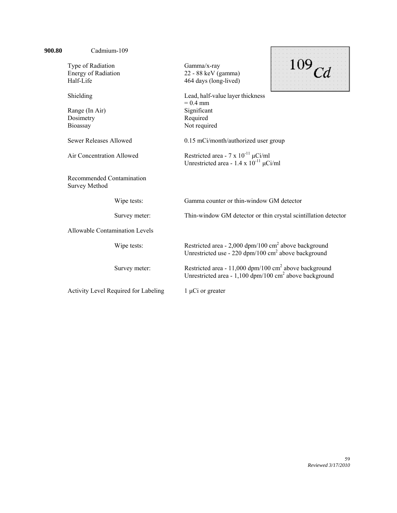| 900.80 | Cadmium-109                                       |                                      |                                                                                                                                           |  |
|--------|---------------------------------------------------|--------------------------------------|-------------------------------------------------------------------------------------------------------------------------------------------|--|
|        | Type of Radiation                                 |                                      | Gamma/x-ray                                                                                                                               |  |
|        | <b>Energy of Radiation</b>                        |                                      | 22 - 88 keV (gamma)                                                                                                                       |  |
|        | Half-Life                                         |                                      | 464 days (long-lived)                                                                                                                     |  |
|        | Shielding                                         |                                      | Lead, half-value layer thickness<br>$= 0.4$ mm                                                                                            |  |
|        | Range (In Air)                                    |                                      | Significant                                                                                                                               |  |
|        | Dosimetry                                         |                                      | Required                                                                                                                                  |  |
|        | Bioassay                                          |                                      | Not required                                                                                                                              |  |
|        | <b>Sewer Releases Allowed</b>                     |                                      | 0.15 mCi/month/authorized user group                                                                                                      |  |
|        | Air Concentration Allowed                         |                                      | Restricted area - 7 x $10^{-11}$ µCi/ml<br>Unrestricted area - $1.4 \times 10^{-11} \mu$ Ci/ml                                            |  |
|        | Recommended Contamination<br><b>Survey Method</b> |                                      |                                                                                                                                           |  |
|        |                                                   | Wipe tests:                          | Gamma counter or thin-window GM detector                                                                                                  |  |
|        |                                                   | Survey meter:                        | Thin-window GM detector or thin crystal scintillation detector                                                                            |  |
|        | <b>Allowable Contamination Levels</b>             |                                      |                                                                                                                                           |  |
|        |                                                   | Wipe tests:                          | Restricted area - $2,000$ dpm/100 cm <sup>2</sup> above background<br>Unrestricted use - 220 dpm/100 $\text{cm}^2$ above background       |  |
|        |                                                   | Survey meter:                        | Restricted area - 11,000 dpm/100 cm <sup>2</sup> above background<br>Unrestricted area - $1,100$ dpm/100 cm <sup>2</sup> above background |  |
|        |                                                   | Activity Level Required for Labeling | $1 \mu Ci$ or greater                                                                                                                     |  |

 $\mathbf{r}$ 

s.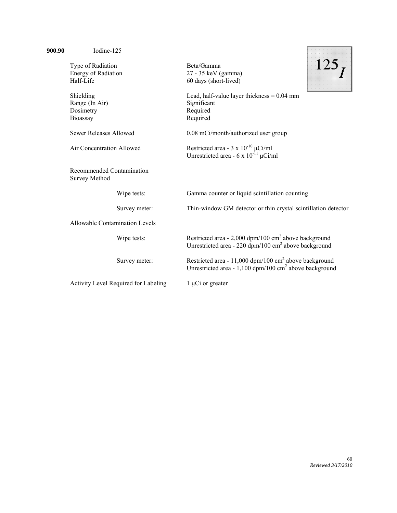| 900.90 | Iodine-125                                                   |                                                                                                                                           |
|--------|--------------------------------------------------------------|-------------------------------------------------------------------------------------------------------------------------------------------|
|        | Type of Radiation<br><b>Energy of Radiation</b><br>Half-Life | Beta/Gamma<br>27 - 35 keV (gamma)<br>60 days (short-lived)                                                                                |
|        | Shielding<br>Range (In Air)<br>Dosimetry<br>Bioassay         | Lead, half-value layer thickness $= 0.04$ mm<br>Significant<br>Required<br>Required                                                       |
|        | Sewer Releases Allowed                                       | 0.08 mCi/month/authorized user group                                                                                                      |
|        | Air Concentration Allowed                                    | Restricted area - $3 \times 10^{-10} \mu$ Ci/ml<br>Unrestricted area - 6 x $10^{-11} \mu$ Ci/ml                                           |
|        | Recommended Contamination<br><b>Survey Method</b>            |                                                                                                                                           |
|        | Wipe tests:                                                  | Gamma counter or liquid scintillation counting                                                                                            |
|        | Survey meter:                                                | Thin-window GM detector or thin crystal scintillation detector                                                                            |
|        | <b>Allowable Contamination Levels</b>                        |                                                                                                                                           |
|        | Wipe tests:                                                  | Restricted area - $2,000$ dpm/100 cm <sup>2</sup> above background<br>Unrestricted area - 220 dpm/100 cm <sup>2</sup> above background    |
|        | Survey meter:                                                | Restricted area - 11,000 dpm/100 cm <sup>2</sup> above background<br>Unrestricted area - $1,100$ dpm/100 cm <sup>2</sup> above background |
|        | Activity Level Required for Labeling                         | $1 \mu Ci$ or greater                                                                                                                     |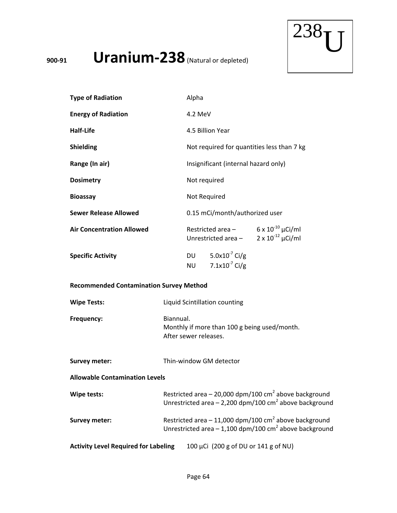**<sup>900</sup>‐<sup>91</sup> Uranium‐238**(Natural or depleted)



| <b>Type of Radiation</b>                       | Alpha                                                                                                                                     |
|------------------------------------------------|-------------------------------------------------------------------------------------------------------------------------------------------|
| <b>Energy of Radiation</b>                     | 4.2 MeV                                                                                                                                   |
| <b>Half-Life</b>                               | 4.5 Billion Year                                                                                                                          |
| <b>Shielding</b>                               | Not required for quantities less than 7 kg                                                                                                |
| Range (In air)                                 | Insignificant (internal hazard only)                                                                                                      |
| <b>Dosimetry</b>                               | Not required                                                                                                                              |
| <b>Bioassay</b>                                | Not Required                                                                                                                              |
| <b>Sewer Release Allowed</b>                   | 0.15 mCi/month/authorized user                                                                                                            |
| <b>Air Concentration Allowed</b>               | Restricted area - $6 \times 10^{-10} \mu$ Ci/ml<br>Unrestricted area - $2 \times 10^{-12} \mu$ Ci/ml                                      |
| <b>Specific Activity</b>                       | 5.0x10 $^{-7}$ Ci/g<br><b>DU</b><br>7.1x10 $^{7}$ Ci/g<br><b>NU</b>                                                                       |
| <b>Recommended Contamination Survey Method</b> |                                                                                                                                           |
| <b>Wipe Tests:</b>                             | Liquid Scintillation counting                                                                                                             |
| Frequency:                                     | Biannual.<br>Monthly if more than 100 g being used/month.<br>After sewer releases.                                                        |
| <b>Survey meter:</b>                           | Thin-window GM detector                                                                                                                   |
| <b>Allowable Contamination Levels</b>          |                                                                                                                                           |
| Wipe tests:                                    | Restricted area $-20,000$ dpm/100 cm <sup>2</sup> above background<br>Unrestricted area $-2,200$ dpm/100 cm <sup>2</sup> above background |
| <b>Survey meter:</b>                           | Restricted area $-11,000$ dpm/100 cm <sup>2</sup> above background<br>Unrestricted area $-1,100$ dpm/100 cm <sup>2</sup> above background |
| <b>Activity Level Required for Labeling</b>    | 100 μCi (200 g of DU or 141 g of NU)                                                                                                      |